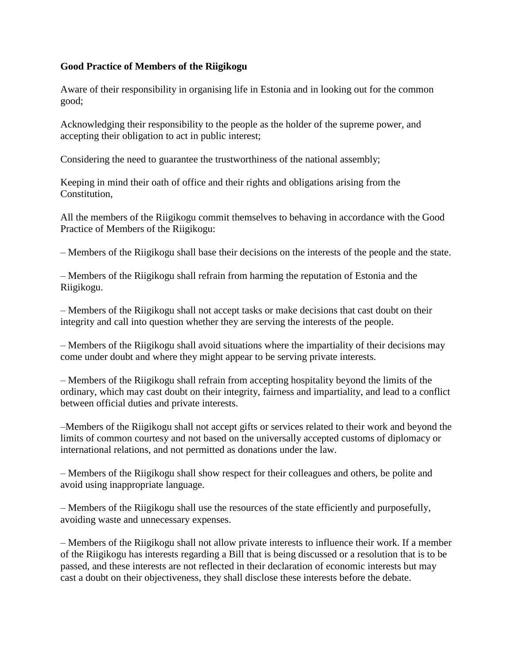## **Good Practice of Members of the Riigikogu**

Aware of their responsibility in organising life in Estonia and in looking out for the common good;

Acknowledging their responsibility to the people as the holder of the supreme power, and accepting their obligation to act in public interest;

Considering the need to guarantee the trustworthiness of the national assembly;

Keeping in mind their oath of office and their rights and obligations arising from the Constitution,

All the members of the Riigikogu commit themselves to behaving in accordance with the Good Practice of Members of the Riigikogu:

– Members of the Riigikogu shall base their decisions on the interests of the people and the state.

– Members of the Riigikogu shall refrain from harming the reputation of Estonia and the Riigikogu.

– Members of the Riigikogu shall not accept tasks or make decisions that cast doubt on their integrity and call into question whether they are serving the interests of the people.

– Members of the Riigikogu shall avoid situations where the impartiality of their decisions may come under doubt and where they might appear to be serving private interests.

– Members of the Riigikogu shall refrain from accepting hospitality beyond the limits of the ordinary, which may cast doubt on their integrity, fairness and impartiality, and lead to a conflict between official duties and private interests.

–Members of the Riigikogu shall not accept gifts or services related to their work and beyond the limits of common courtesy and not based on the universally accepted customs of diplomacy or international relations, and not permitted as donations under the law.

– Members of the Riigikogu shall show respect for their colleagues and others, be polite and avoid using inappropriate language.

– Members of the Riigikogu shall use the resources of the state efficiently and purposefully, avoiding waste and unnecessary expenses.

– Members of the Riigikogu shall not allow private interests to influence their work. If a member of the Riigikogu has interests regarding a Bill that is being discussed or a resolution that is to be passed, and these interests are not reflected in their declaration of economic interests but may cast a doubt on their objectiveness, they shall disclose these interests before the debate.